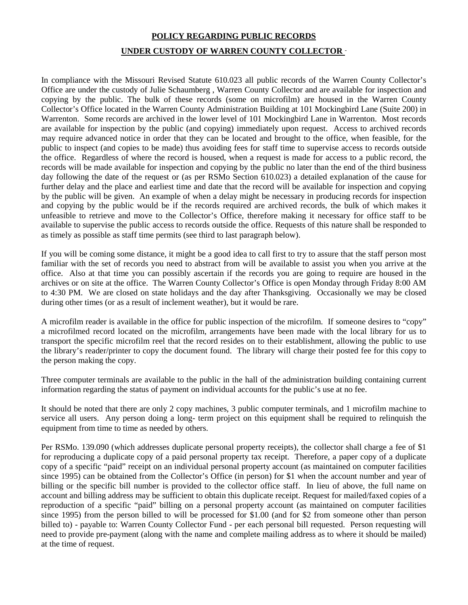## **POLICY REGARDING PUBLIC RECORDS UNDER CUSTODY OF WARREN COUNTY COLLECTOR**

In compliance with the Missouri Revised Statute 610.023 all public records of the Warren County Collector's Office are under the custody of Julie Schaumberg , Warren County Collector and are available for inspection and copying by the public. The bulk of these records (some on microfilm) are housed in the Warren County Collector's Office located in the Warren County Administration Building at 101 Mockingbird Lane (Suite 200) in Warrenton. Some records are archived in the lower level of 101 Mockingbird Lane in Warrenton. Most records are available for inspection by the public (and copying) immediately upon request. Access to archived records may require advanced notice in order that they can be located and brought to the office, when feasible, for the public to inspect (and copies to be made) thus avoiding fees for staff time to supervise access to records outside the office. Regardless of where the record is housed, when a request is made for access to a public record, the records will be made available for inspection and copying by the public no later than the end of the third business day following the date of the request or (as per RSMo Section 610.023) a detailed explanation of the cause for further delay and the place and earliest time and date that the record will be available for inspection and copying by the public will be given. An example of when a delay might be necessary in producing records for inspection and copying by the public would be if the records required are archived records, the bulk of which makes it unfeasible to retrieve and move to the Collector's Office, therefore making it necessary for office staff to be available to supervise the public access to records outside the office. Requests of this nature shall be responded to as timely as possible as staff time permits (see third to last paragraph below).

If you will be coming some distance, it might be a good idea to call first to try to assure that the staff person most familiar with the set of records you need to abstract from will be available to assist you when you arrive at the office. Also at that time you can possibly ascertain if the records you are going to require are housed in the archives or on site at the office. The Warren County Collector's Office is open Monday through Friday 8:00 AM to 4:30 PM. We are closed on state holidays and the day after Thanksgiving. Occasionally we may be closed during other times (or as a result of inclement weather), but it would be rare.

A microfilm reader is available in the office for public inspection of the microfilm. If someone desires to "copy" a microfilmed record located on the microfilm, arrangements have been made with the local library for us to transport the specific microfilm reel that the record resides on to their establishment, allowing the public to use the library's reader/printer to copy the document found. The library will charge their posted fee for this copy to the person making the copy.

Three computer terminals are available to the public in the hall of the administration building containing current information regarding the status of payment on individual accounts for the public's use at no fee.

It should be noted that there are only 2 copy machines, 3 public computer terminals, and 1 microfilm machine to service all users. Any person doing a long- term project on this equipment shall be required to relinquish the equipment from time to time as needed by others.

Per RSMo. 139.090 (which addresses duplicate personal property receipts), the collector shall charge a fee of \$1 for reproducing a duplicate copy of a paid personal property tax receipt. Therefore, a paper copy of a duplicate copy of a specific "paid" receipt on an individual personal property account (as maintained on computer facilities since 1995) can be obtained from the Collector's Office (in person) for \$1 when the account number and year of billing or the specific bill number is provided to the collector office staff. In lieu of above, the full name on account and billing address may be sufficient to obtain this duplicate receipt. Request for mailed/faxed copies of a reproduction of a specific "paid" billing on a personal property account (as maintained on computer facilities since 1995) from the person billed to will be processed for \$1.00 (and for \$2 from someone other than person billed to) - payable to: Warren County Collector Fund - per each personal bill requested. Person requesting will need to provide pre-payment (along with the name and complete mailing address as to where it should be mailed) at the time of request.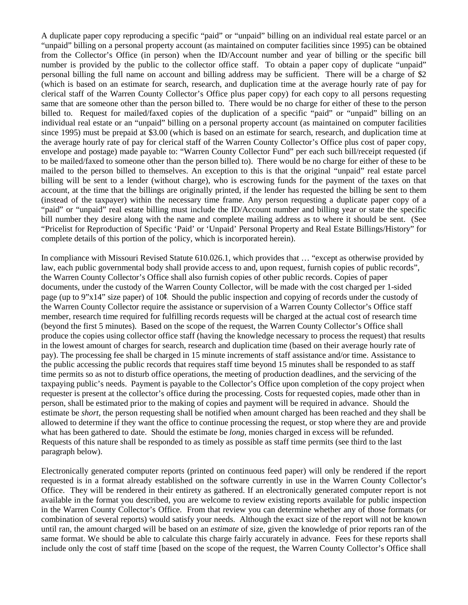A duplicate paper copy reproducing a specific "paid" or "unpaid" billing on an individual real estate parcel or an "unpaid" billing on a personal property account (as maintained on computer facilities since 1995) can be obtained from the Collector's Office (in person) when the ID/Account number and year of billing or the specific bill number is provided by the public to the collector office staff. To obtain a paper copy of duplicate "unpaid" personal billing the full name on account and billing address may be sufficient. There will be a charge of \$2 (which is based on an estimate for search, research, and duplication time at the average hourly rate of pay for clerical staff of the Warren County Collector's Office plus paper copy) for each copy to all persons requesting same that are someone other than the person billed to. There would be no charge for either of these to the person billed to. Request for mailed/faxed copies of the duplication of a specific "paid" or "unpaid" billing on an individual real estate or an "unpaid" billing on a personal property account (as maintained on computer facilities since 1995) must be prepaid at \$3.00 (which is based on an estimate for search, research, and duplication time at the average hourly rate of pay for clerical staff of the Warren County Collector's Office plus cost of paper copy, envelope and postage) made payable to: "Warren County Collector Fund" per each such bill/receipt requested (if to be mailed/faxed to someone other than the person billed to). There would be no charge for either of these to be mailed to the person billed to themselves. An exception to this is that the original "unpaid" real estate parcel billing will be sent to a lender (without charge), who is escrowing funds for the payment of the taxes on that account, at the time that the billings are originally printed, if the lender has requested the billing be sent to them (instead of the taxpayer) within the necessary time frame. Any person requesting a duplicate paper copy of a "paid" or "unpaid" real estate billing must include the ID/Account number and billing year or state the specific bill number they desire along with the name and complete mailing address as to where it should be sent. (See "Pricelist for Reproduction of Specific 'Paid' or 'Unpaid' Personal Property and Real Estate Billings/History" for complete details of this portion of the policy, which is incorporated herein).

In compliance with Missouri Revised Statute 610.026.1, which provides that … "except as otherwise provided by law, each public governmental body shall provide access to and, upon request, furnish copies of public records", the Warren County Collector's Office shall also furnish copies of other public records. Copies of paper documents, under the custody of the Warren County Collector, will be made with the cost charged per 1-sided page (up to 9"x14" size paper) of 10¢. Should the public inspection and copying of records under the custody of the Warren County Collector require the assistance or supervision of a Warren County Collector's Office staff member, research time required for fulfilling records requests will be charged at the actual cost of research time (beyond the first 5 minutes). Based on the scope of the request, the Warren County Collector's Office shall produce the copies using collector office staff (having the knowledge necessary to process the request) that results in the lowest amount of charges for search, research and duplication time (based on their average hourly rate of pay). The processing fee shall be charged in 15 minute increments of staff assistance and/or time. Assistance to the public accessing the public records that requires staff time beyond 15 minutes shall be responded to as staff time permits so as not to disturb office operations, the meeting of production deadlines, and the servicing of the taxpaying public's needs. Payment is payable to the Collector's Office upon completion of the copy project when requester is present at the collector's office during the processing. Costs for requested copies, made other than in person, shall be estimated prior to the making of copies and payment will be required in advance. Should the estimate be *short,* the person requesting shall be notified when amount charged has been reached and they shall be allowed to determine if they want the office to continue processing the request, or stop where they are and provide what has been gathered to date. Should the estimate be *long,* monies charged in excess will be refunded. Requests of this nature shall be responded to as timely as possible as staff time permits (see third to the last paragraph below).

Electronically generated computer reports (printed on continuous feed paper) will only be rendered if the report requested is in a format already established on the software currently in use in the Warren County Collector's Office. They will be rendered in their entirety as gathered. If an electronically generated computer report is not available in the format you described, you are welcome to review existing reports available for public inspection in the Warren County Collector's Office. From that review you can determine whether any of those formats (or combination of several reports) would satisfy your needs. Although the exact size of the report will not be known until ran, the amount charged will be based on an *estimate* of size, given the knowledge of prior reports ran of the same format. We should be able to calculate this charge fairly accurately in advance. Fees for these reports shall include only the cost of staff time [based on the scope of the request, the Warren County Collector's Office shall